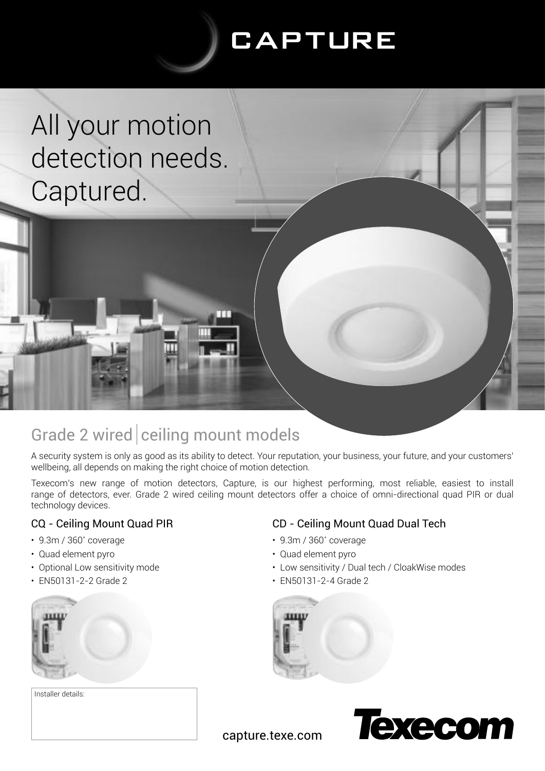# **CAPTURE**

All your motion detection needs. Captured.



TT

A security system is only as good as its ability to detect. Your reputation, your business, your future, and your customers' wellbeing, all depends on making the right choice of motion detection.

Texecom's new range of motion detectors, Capture, is our highest performing, most reliable, easiest to install range of detectors, ever. Grade 2 wired ceiling mount detectors offer a choice of omni-directional quad PIR or dual technology devices.

#### CQ - Ceiling Mount Quad PIR

- 9.3m / 360˚ coverage
- Quad element pyro
- Optional Low sensitivity mode
- EN50131-2-2 Grade 2



Installer details:

### CD - Ceiling Mount Quad Dual Tech

- 9.3m / 360˚ coverage
- Quad element pyro
- Low sensitivity / Dual tech / CloakWise modes
- EN50131-2-4 Grade 2





capture.texe.com